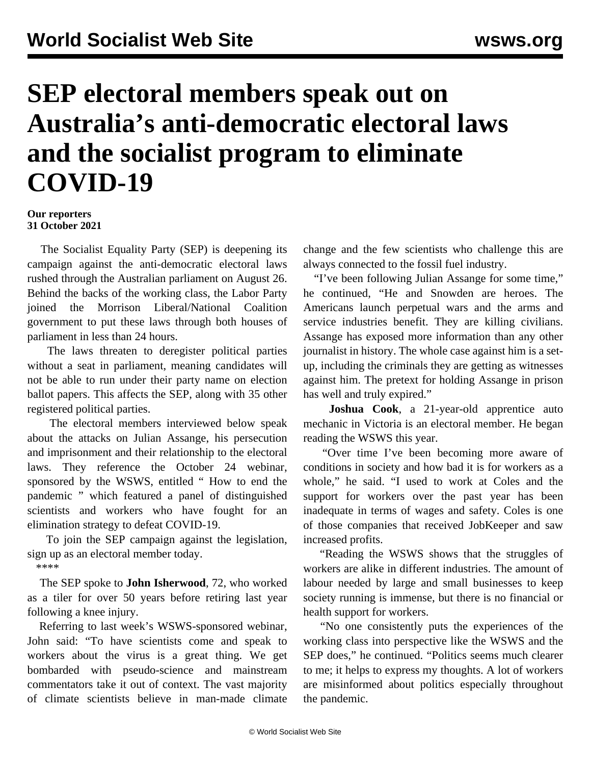## **SEP electoral members speak out on Australia's anti-democratic electoral laws and the socialist program to eliminate COVID-19**

## **Our reporters 31 October 2021**

 The Socialist Equality Party (SEP) is deepening its campaign against the anti-democratic electoral laws rushed through the Australian parliament on August 26. Behind the backs of the working class, the Labor Party joined the Morrison Liberal/National Coalition government to put these laws through both houses of parliament in less than 24 hours.

 The laws threaten to deregister political parties without a seat in parliament, meaning candidates will not be able to run under their party name on election ballot papers. This affects the SEP, along with 35 other registered political parties.

 The electoral members interviewed below speak about the attacks on Julian Assange, his persecution and imprisonment and their relationship to the electoral laws. They reference the October 24 webinar, sponsored by the WSWS, entitled " [How to end the](/en/articles/2021/10/26/rgqy-o26.html) [pandemic](/en/articles/2021/10/26/rgqy-o26.html) " which featured a panel of distinguished scientists and workers who have fought for an elimination strategy to defeat COVID-19.

 To join the SEP campaign against the legislation, sign up as an [electoral member](/en/special/pages/sep/australia/home.html) today.

\*\*\*\*

 The SEP spoke to **John Isherwood**, 72, who worked as a tiler for over 50 years before retiring last year following a knee injury.

 Referring to last week's WSWS-sponsored webinar, John said: "To have scientists come and speak to workers about the virus is a great thing. We get bombarded with pseudo-science and mainstream commentators take it out of context. The vast majority of climate scientists believe in man-made climate change and the few scientists who challenge this are always connected to the fossil fuel industry.

 "I've been following Julian Assange for some time," he continued, "He and Snowden are heroes. The Americans launch perpetual wars and the arms and service industries benefit. They are killing civilians. Assange has exposed more information than any other journalist in history. The whole case against him is a setup, including the criminals they are getting as witnesses against him. The pretext for holding Assange in prison has well and truly expired."

 **Joshua Cook**, a 21-year-old apprentice auto mechanic in Victoria is an electoral member. He began reading the WSWS this year.

 "Over time I've been becoming more aware of conditions in society and how bad it is for workers as a whole," he said. "I used to work at Coles and the support for workers over the past year has been inadequate in terms of wages and safety. Coles is one of those companies that received JobKeeper and saw increased profits.

 "Reading the WSWS shows that the struggles of workers are alike in different industries. The amount of labour needed by large and small businesses to keep society running is immense, but there is no financial or health support for workers.

 "No one consistently puts the experiences of the working class into perspective like the WSWS and the SEP does," he continued. "Politics seems much clearer to me; it helps to express my thoughts. A lot of workers are misinformed about politics especially throughout the pandemic.